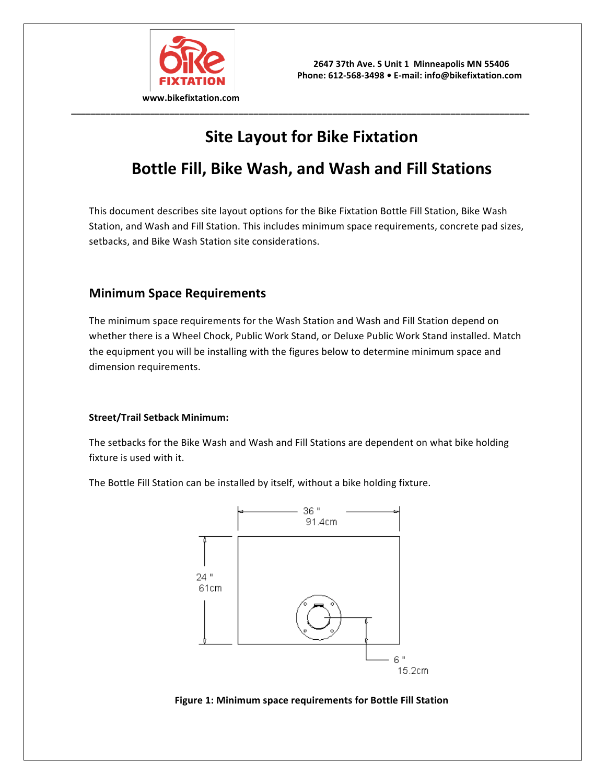

# **Site Layout for Bike Fixtation**

**\_\_\_\_\_\_\_\_\_\_\_\_\_\_\_\_\_\_\_\_\_\_\_\_\_\_\_\_\_\_\_\_\_\_\_\_\_\_\_\_\_\_\_\_\_\_\_\_\_\_\_\_\_\_\_\_\_\_\_\_\_\_\_\_\_\_\_\_\_\_\_\_\_\_\_\_\_\_\_\_\_\_\_\_\_\_\_\_\_\_\_\_\_**

## **Bottle Fill, Bike Wash, and Wash and Fill Stations**

This document describes site layout options for the Bike Fixtation Bottle Fill Station, Bike Wash Station, and Wash and Fill Station. This includes minimum space requirements, concrete pad sizes, setbacks, and Bike Wash Station site considerations.

## **Minimum Space Requirements**

The minimum space requirements for the Wash Station and Wash and Fill Station depend on whether there is a Wheel Chock, Public Work Stand, or Deluxe Public Work Stand installed. Match the equipment you will be installing with the figures below to determine minimum space and dimension requirements.

#### **Street/Trail Setback Minimum:**

The setbacks for the Bike Wash and Wash and Fill Stations are dependent on what bike holding fixture is used with it.

The Bottle Fill Station can be installed by itself, without a bike holding fixture.



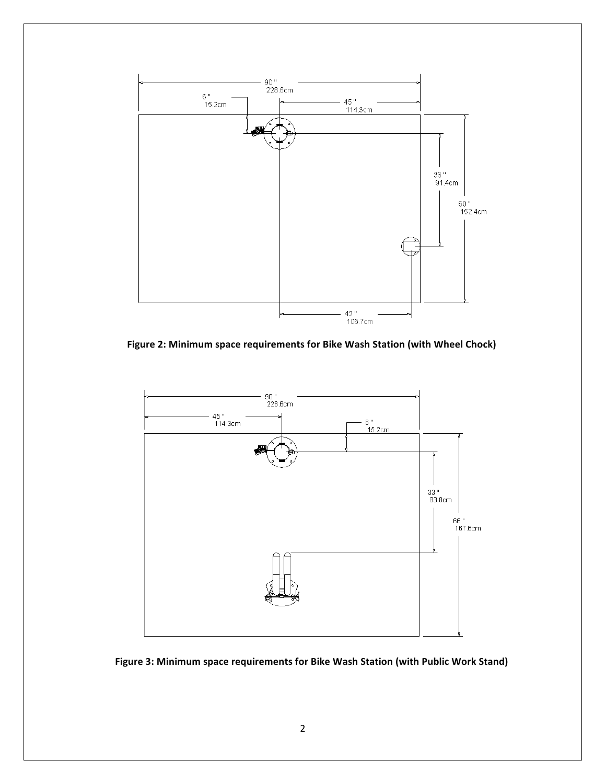

Figure 2: Minimum space requirements for Bike Wash Station (with Wheel Chock)



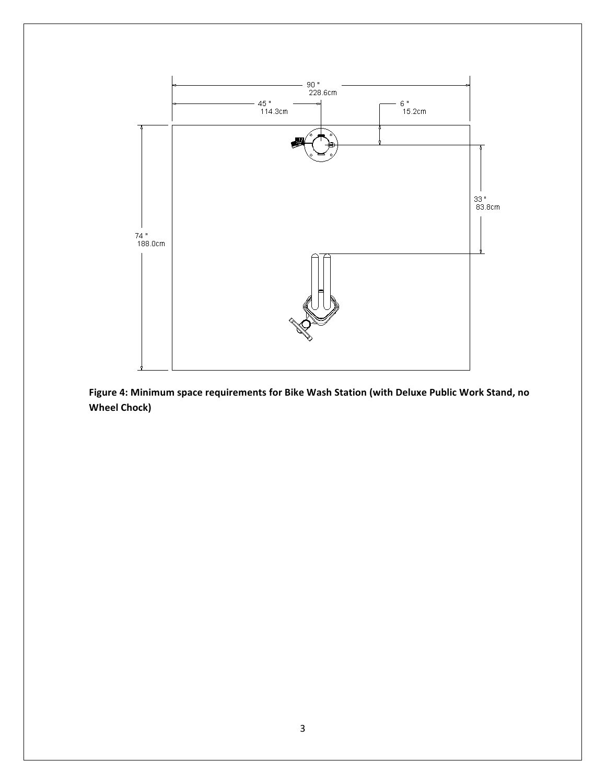

Figure 4: Minimum space requirements for Bike Wash Station (with Deluxe Public Work Stand, no **Wheel Chock)**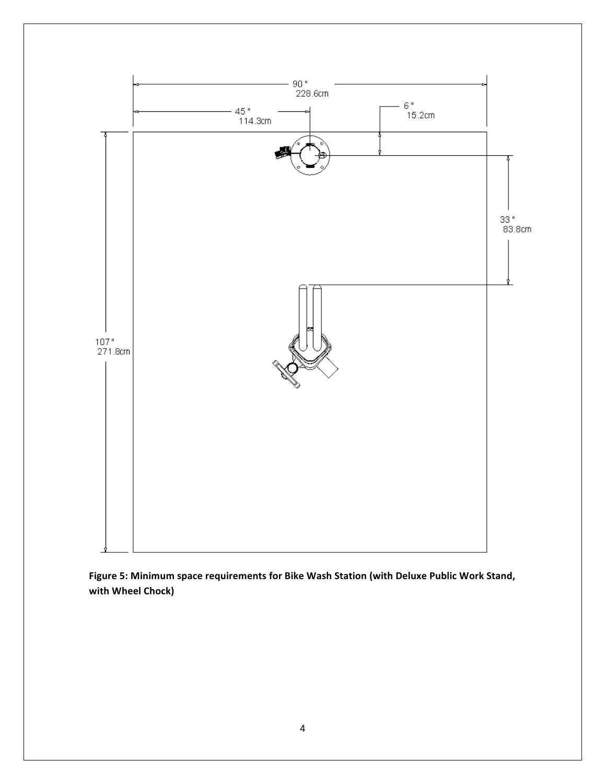

Figure 5: Minimum space requirements for Bike Wash Station (with Deluxe Public Work Stand, **with Wheel Chock)**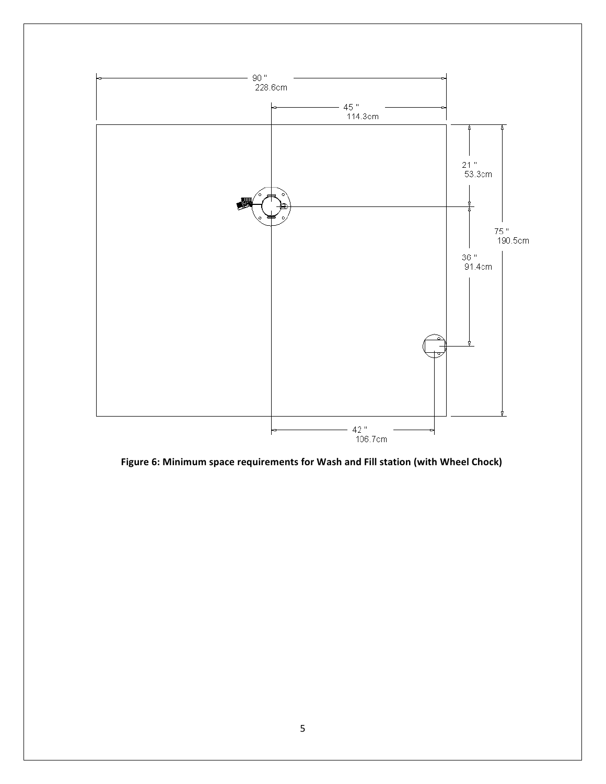

Figure 6: Minimum space requirements for Wash and Fill station (with Wheel Chock)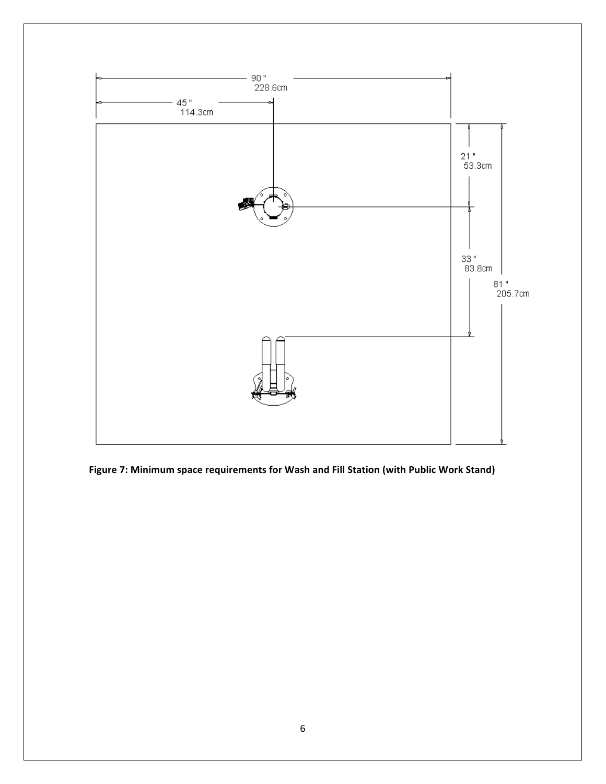

Figure 7: Minimum space requirements for Wash and Fill Station (with Public Work Stand)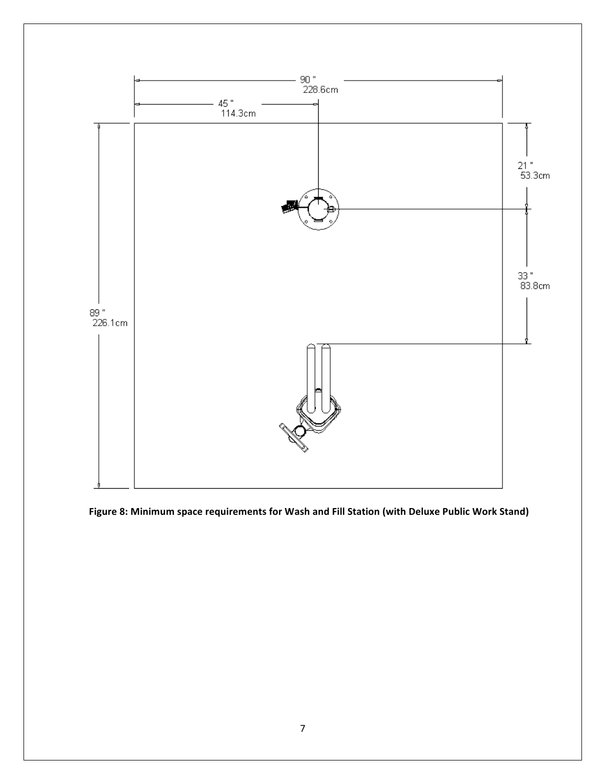

Figure 8: Minimum space requirements for Wash and Fill Station (with Deluxe Public Work Stand)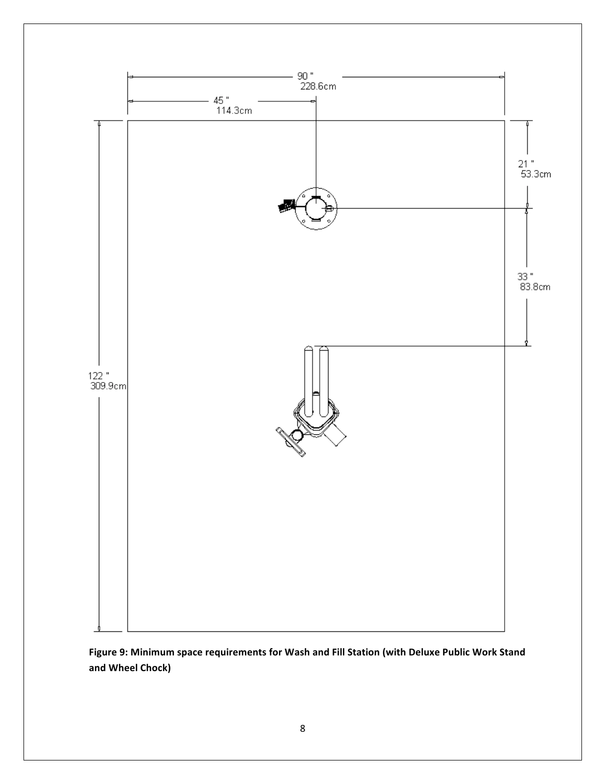

Figure 9: Minimum space requirements for Wash and Fill Station (with Deluxe Public Work Stand **and Wheel Chock)**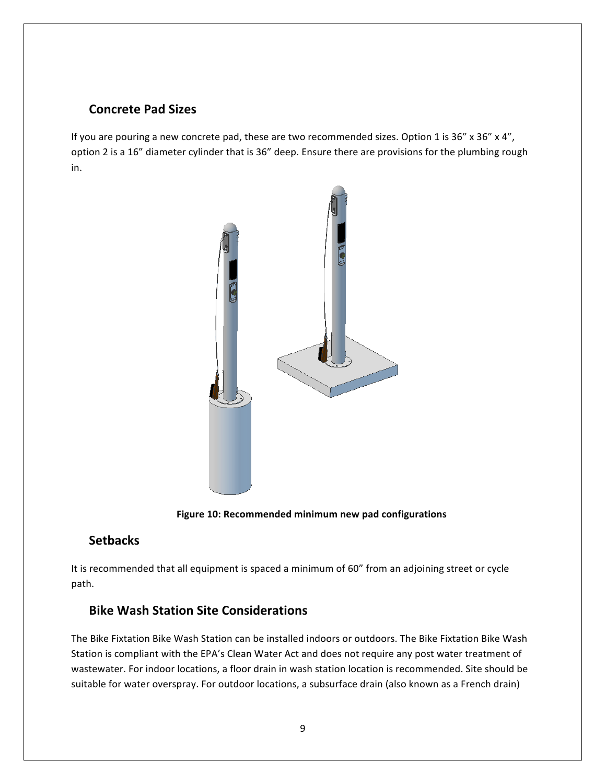## **Concrete Pad Sizes**

If you are pouring a new concrete pad, these are two recommended sizes. Option 1 is 36" x 36" x 4", option 2 is a 16" diameter cylinder that is 36" deep. Ensure there are provisions for the plumbing rough in.



Figure 10: Recommended minimum new pad configurations

### **Setbacks**

It is recommended that all equipment is spaced a minimum of 60" from an adjoining street or cycle path.

## **Bike Wash Station Site Considerations**

The Bike Fixtation Bike Wash Station can be installed indoors or outdoors. The Bike Fixtation Bike Wash Station is compliant with the EPA's Clean Water Act and does not require any post water treatment of wastewater. For indoor locations, a floor drain in wash station location is recommended. Site should be suitable for water overspray. For outdoor locations, a subsurface drain (also known as a French drain)